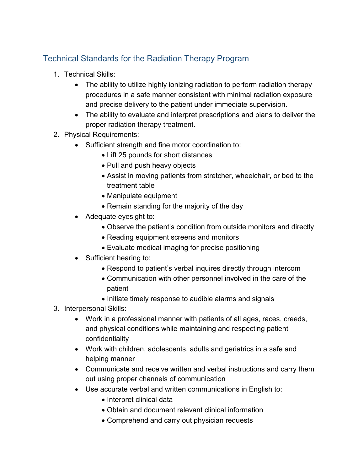## Technical Standards for the Radiation Therapy Program

- 1. Technical Skills:
	- The ability to utilize highly ionizing radiation to perform radiation therapy procedures in a safe manner consistent with minimal radiation exposure and precise delivery to the patient under immediate supervision.
	- The ability to evaluate and interpret prescriptions and plans to deliver the proper radiation therapy treatment.
- 2. Physical Requirements:
	- Sufficient strength and fine motor coordination to:
		- Lift 25 pounds for short distances
		- Pull and push heavy objects
		- Assist in moving patients from stretcher, wheelchair, or bed to the treatment table
		- Manipulate equipment
		- Remain standing for the majority of the day
	- Adequate eyesight to:
		- Observe the patient's condition from outside monitors and directly
		- Reading equipment screens and monitors
		- Evaluate medical imaging for precise positioning
	- Sufficient hearing to:
		- Respond to patient's verbal inquires directly through intercom
		- Communication with other personnel involved in the care of the patient
		- Initiate timely response to audible alarms and signals
- 3. Interpersonal Skills:
	- Work in a professional manner with patients of all ages, races, creeds, and physical conditions while maintaining and respecting patient confidentiality
	- Work with children, adolescents, adults and geriatrics in a safe and helping manner
	- Communicate and receive written and verbal instructions and carry them out using proper channels of communication
	- Use accurate verbal and written communications in English to:
		- Interpret clinical data
		- Obtain and document relevant clinical information
		- Comprehend and carry out physician requests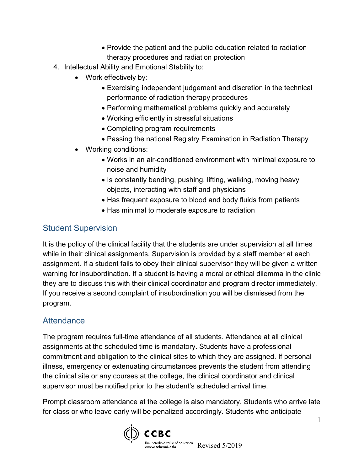- Provide the patient and the public education related to radiation therapy procedures and radiation protection
- 4. Intellectual Ability and Emotional Stability to:
	- Work effectively by:
		- Exercising independent judgement and discretion in the technical performance of radiation therapy procedures
		- Performing mathematical problems quickly and accurately
		- Working efficiently in stressful situations
		- Completing program requirements
		- Passing the national Registry Examination in Radiation Therapy
	- Working conditions:
		- Works in an air-conditioned environment with minimal exposure to noise and humidity
		- Is constantly bending, pushing, lifting, walking, moving heavy objects, interacting with staff and physicians
		- Has frequent exposure to blood and body fluids from patients
		- Has minimal to moderate exposure to radiation

## Student Supervision

It is the policy of the clinical facility that the students are under supervision at all times while in their clinical assignments. Supervision is provided by a staff member at each assignment. If a student fails to obey their clinical supervisor they will be given a written warning for insubordination. If a student is having a moral or ethical dilemma in the clinic they are to discuss this with their clinical coordinator and program director immediately. If you receive a second complaint of insubordination you will be dismissed from the program.

## **Attendance**

The program requires full-time attendance of all students. Attendance at all clinical assignments at the scheduled time is mandatory. Students have a professional commitment and obligation to the clinical sites to which they are assigned. If personal illness, emergency or extenuating circumstances prevents the student from attending the clinical site or any courses at the college, the clinical coordinator and clinical supervisor must be notified prior to the student's scheduled arrival time.

Prompt classroom attendance at the college is also mandatory. Students who arrive late for class or who leave early will be penalized accordingly. Students who anticipate

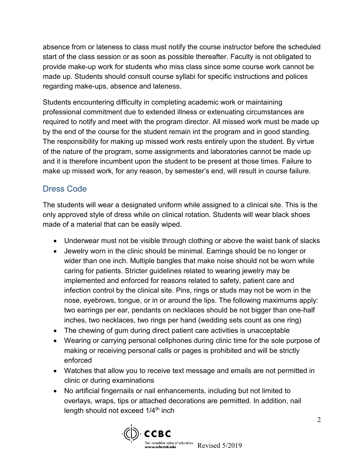absence from or lateness to class must notify the course instructor before the scheduled start of the class session or as soon as possible thereafter. Faculty is not obligated to provide make-up work for students who miss class since some course work cannot be made up. Students should consult course syllabi for specific instructions and polices regarding make-ups, absence and lateness.

Students encountering difficulty in completing academic work or maintaining professional commitment due to extended illness or extenuating circumstances are required to notify and meet with the program director. All missed work must be made up by the end of the course for the student remain int the program and in good standing. The responsibility for making up missed work rests entirely upon the student. By virtue of the nature of the program, some assignments and laboratories cannot be made up and it is therefore incumbent upon the student to be present at those times. Failure to make up missed work, for any reason, by semester's end, will result in course failure.

# Dress Code

The students will wear a designated uniform while assigned to a clinical site. This is the only approved style of dress while on clinical rotation. Students will wear black shoes made of a material that can be easily wiped.

- Underwear must not be visible through clothing or above the waist bank of slacks
- Jewelry worn in the clinic should be minimal. Earrings should be no longer or wider than one inch. Multiple bangles that make noise should not be worn while caring for patients. Stricter guidelines related to wearing jewelry may be implemented and enforced for reasons related to safety, patient care and infection control by the clinical site. Pins, rings or studs may not be worn in the nose, eyebrows, tongue, or in or around the lips. The following maximums apply: two earrings per ear, pendants on necklaces should be not bigger than one-half inches, two necklaces, two rings per hand (wedding sets count as one ring)
- The chewing of gum during direct patient care activities is unacceptable
- Wearing or carrying personal cellphones during clinic time for the sole purpose of making or receiving personal calls or pages is prohibited and will be strictly enforced
- Watches that allow you to receive text message and emails are not permitted in clinic or during examinations
- No artificial fingernails or nail enhancements, including but not limited to overlays, wraps, tips or attached decorations are permitted. In addition, nail length should not exceed 1/4<sup>th</sup> inch

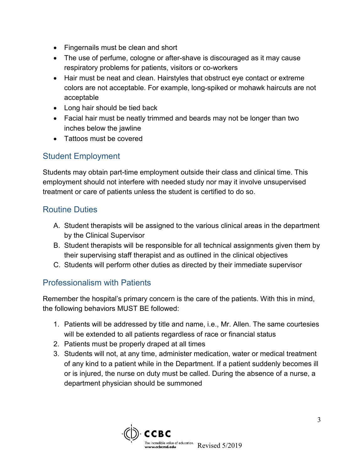- Fingernails must be clean and short
- The use of perfume, cologne or after-shave is discouraged as it may cause respiratory problems for patients, visitors or co-workers
- Hair must be neat and clean. Hairstyles that obstruct eye contact or extreme colors are not acceptable. For example, long-spiked or mohawk haircuts are not acceptable
- Long hair should be tied back
- Facial hair must be neatly trimmed and beards may not be longer than two inches below the jawline
- Tattoos must be covered

## Student Employment

Students may obtain part-time employment outside their class and clinical time. This employment should not interfere with needed study nor may it involve unsupervised treatment or care of patients unless the student is certified to do so.

#### Routine Duties

- A. Student therapists will be assigned to the various clinical areas in the department by the Clinical Supervisor
- B. Student therapists will be responsible for all technical assignments given them by their supervising staff therapist and as outlined in the clinical objectives
- C. Students will perform other duties as directed by their immediate supervisor

## Professionalism with Patients

Remember the hospital's primary concern is the care of the patients. With this in mind, the following behaviors MUST BE followed:

- 1. Patients will be addressed by title and name, i.e., Mr. Allen. The same courtesies will be extended to all patients regardless of race or financial status
- 2. Patients must be properly draped at all times
- 3. Students will not, at any time, administer medication, water or medical treatment of any kind to a patient while in the Department. If a patient suddenly becomes ill or is injured, the nurse on duty must be called. During the absence of a nurse, a department physician should be summoned

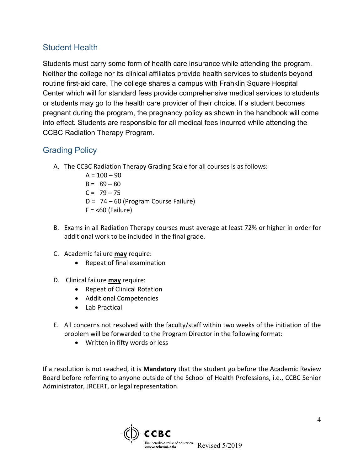#### Student Health

Students must carry some form of health care insurance while attending the program. Neither the college nor its clinical affiliates provide health services to students beyond routine first-aid care. The college shares a campus with Franklin Square Hospital Center which will for standard fees provide comprehensive medical services to students or students may go to the health care provider of their choice. If a student becomes pregnant during the program, the pregnancy policy as shown in the handbook will come into effect. Students are responsible for all medical fees incurred while attending the CCBC Radiation Therapy Program.

## Grading Policy

- A. The CCBC Radiation Therapy Grading Scale for all courses is as follows:
	- $A = 100 90$  $B = 89 - 80$  $C = 79 - 75$ D = 74 – 60 (Program Course Failure)  $F = < 60$  (Failure)
- B. Exams in all Radiation Therapy courses must average at least 72% or higher in order for additional work to be included in the final grade.
- C. Academic failure **may** require:
	- Repeat of final examination
- D. Clinical failure **may** require:
	- Repeat of Clinical Rotation
	- Additional Competencies
	- Lab Practical
- E. All concerns not resolved with the faculty/staff within two weeks of the initiation of the problem will be forwarded to the Program Director in the following format:
	- Written in fifty words or less

If a resolution is not reached, it is **Mandatory** that the student go before the Academic Review Board before referring to anyone outside of the School of Health Professions, i.e., CCBC Senior Administrator, JRCERT, or legal representation.

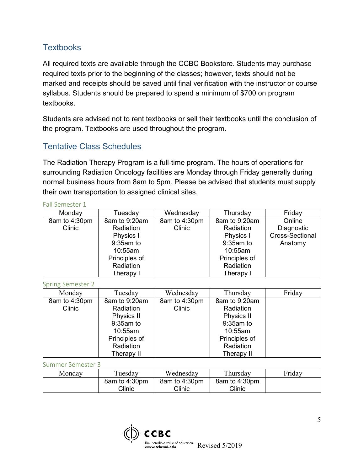## **Textbooks**

All required texts are available through the CCBC Bookstore. Students may purchase required texts prior to the beginning of the classes; however, texts should not be marked and receipts should be saved until final verification with the instructor or course syllabus. Students should be prepared to spend a minimum of \$700 on program textbooks.

Students are advised not to rent textbooks or sell their textbooks until the conclusion of the program. Textbooks are used throughout the program.

## Tentative Class Schedules

The Radiation Therapy Program is a full-time program. The hours of operations for surrounding Radiation Oncology facilities are Monday through Friday generally during normal business hours from 8am to 5pm. Please be advised that students must supply their own transportation to assigned clinical sites.

#### Fall Semester 1

| Monday        | Tuesday       | Wednesday     | Thursday      | Friday                 |
|---------------|---------------|---------------|---------------|------------------------|
| 8am to 4:30pm | 8am to 9:20am | 8am to 4:30pm | 8am to 9:20am | Online                 |
| <b>Clinic</b> | Radiation     | Clinic        | Radiation     | Diagnostic             |
|               | Physics I     |               | Physics I     | <b>Cross-Sectional</b> |
|               | $9:35$ am to  |               | 9:35am to     | Anatomy                |
|               | 10:55am       |               | 10:55am       |                        |
|               | Principles of |               | Principles of |                        |
|               | Radiation     |               | Radiation     |                        |
|               | Therapy I     |               | Therapy I     |                        |

Spring Semester 2

| Monday        | Tuesday       | Wednesday     | Thursday      | Friday |
|---------------|---------------|---------------|---------------|--------|
| 8am to 4:30pm | 8am to 9:20am | 8am to 4:30pm | 8am to 9:20am |        |
| Clinic        | Radiation     | Clinic        | Radiation     |        |
|               | Physics II    |               | Physics II    |        |
|               | $9:35$ am to  |               | 9:35am to     |        |
|               | 10:55am       |               | 10:55am       |        |
|               | Principles of |               | Principles of |        |
|               | Radiation     |               | Radiation     |        |
|               | Therapy II    |               | Therapy II    |        |

Summer Semester 3

| Monday | Tuesday       | Wednesdav     | Thursday      | Friday |
|--------|---------------|---------------|---------------|--------|
|        | 8am to 4:30pm | 8am to 4:30pm | 8am to 4:30pm |        |
|        | Clinic        | Clinic        | Clinic        |        |